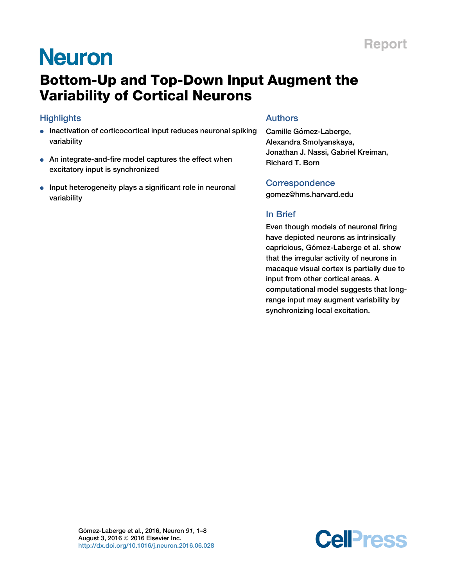# **Neuron**

# Bottom-Up and Top-Down Input Augment the Variability of Cortical Neurons

## **Highlights**

- **.** Inactivation of corticocortical input reduces neuronal spiking variability
- An integrate-and-fire model captures the effect when excitatory input is synchronized
- Input heterogeneity plays a significant role in neuronal variability

### Authors

Camille Gómez-Laberge, Alexandra Smolyanskaya, Jonathan J. Nassi, Gabriel Kreiman, Richard T. Born

### **Correspondence**

[gomez@hms.harvard.edu](mailto:gomez@hms.harvard.edu)

### In Brief

Even though models of neuronal firing have depicted neurons as intrinsically capricious, Gómez-Laberge et al. show that the irregular activity of neurons in macaque visual cortex is partially due to input from other cortical areas. A computational model suggests that longrange input may augment variability by synchronizing local excitation.

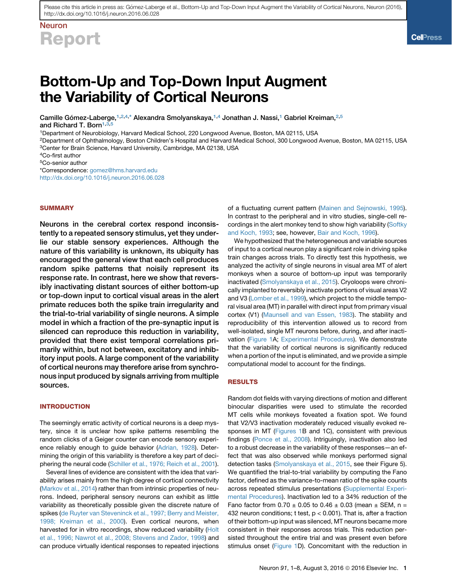# Neuron Report

# Bottom-Up and Top-Down Input Augment the Variability of Cortical Neurons

Camille Gómez-Laberge,<sup>[1](#page-1-0)[,2,](#page-1-1)[4,](#page-1-2)[\\*](#page-1-3)</sup> Alexandra Smolyanskaya,<sup>[1,](#page-1-0)[4](#page-1-2)</sup> Jonathan J. Nassi,<sup>1</sup> Gabriel Kreiman,<sup>2[,5](#page-1-4)</sup>

and Richard T. Born $1,3$  $1,3$ ,

<span id="page-1-0"></span>1Department of Neurobiology, Harvard Medical School, 220 Longwood Avenue, Boston, MA 02115, USA

<span id="page-1-5"></span><span id="page-1-1"></span>2Department of Ophthalmology, Boston Children's Hospital and Harvard Medical School, 300 Longwood Avenue, Boston, MA 02115, USA 3Center for Brain Science, Harvard University, Cambridge, MA 02138, USA

<span id="page-1-4"></span>5Co-senior author

<span id="page-1-3"></span>\*Correspondence: [gomez@hms.harvard.edu](mailto:gomez@hms.harvard.edu)

<http://dx.doi.org/10.1016/j.neuron.2016.06.028>

#### **SUMMARY**

Neurons in the cerebral cortex respond inconsistently to a repeated sensory stimulus, yet they underlie our stable sensory experiences. Although the nature of this variability is unknown, its ubiquity has encouraged the general view that each cell produces random spike patterns that noisily represent its response rate. In contrast, here we show that reversibly inactivating distant sources of either bottom-up or top-down input to cortical visual areas in the alert primate reduces both the spike train irregularity and the trial-to-trial variability of single neurons. A simple model in which a fraction of the pre-synaptic input is silenced can reproduce this reduction in variability, provided that there exist temporal correlations primarily within, but not between, excitatory and inhibitory input pools. A large component of the variability of cortical neurons may therefore arise from synchronous input produced by signals arriving from multiple sources.

#### **INTRODUCTION**

The seemingly erratic activity of cortical neurons is a deep mystery, since it is unclear how spike patterns resembling the random clicks of a Geiger counter can encode sensory experience reliably enough to guide behavior [\(Adrian, 1928](#page-7-0)). Determining the origin of this variability is therefore a key part of deciphering the neural code ([Schiller et al., 1976; Reich et al., 2001\)](#page-8-0).

Several lines of evidence are consistent with the idea that variability arises mainly from the high degree of cortical connectivity [\(Markov et al., 2014](#page-8-1)) rather than from intrinsic properties of neurons. Indeed, peripheral sensory neurons can exhibit as little variability as theoretically possible given the discrete nature of spikes [\(de Ruyter van Steveninck et al., 1997; Berry and Meister,](#page-7-1) [1998; Kreiman et al., 2000](#page-7-1)). Even cortical neurons, when harvested for in vitro recordings, show reduced variability ([Holt](#page-8-2) [et al., 1996; Nawrot et al., 2008; Stevens and Zador, 1998](#page-8-2)) and can produce virtually identical responses to repeated injections of a fluctuating current pattern ([Mainen and Sejnowski, 1995\)](#page-8-3). In contrast to the peripheral and in vitro studies, single-cell recordings in the alert monkey tend to show high variability [\(Softky](#page-8-4) [and Koch, 1993](#page-8-4); see, however, [Bair and Koch, 1996](#page-7-2)).

We hypothesized that the heterogeneous and variable sources of input to a cortical neuron play a significant role in driving spike train changes across trials. To directly test this hypothesis, we analyzed the activity of single neurons in visual area MT of alert monkeys when a source of bottom-up input was temporarily inactivated ([Smolyanskaya et al., 2015](#page-8-5)). Cryoloops were chronically implanted to reversibly inactivate portions of visual areas V2 and V3 [\(Lomber et al., 1999](#page-8-6)), which project to the middle temporal visual area (MT) in parallel with direct input from primary visual cortex (V1) [\(Maunsell and van Essen, 1983\)](#page-8-7). The stability and reproducibility of this intervention allowed us to record from well-isolated, single MT neurons before, during, and after inactivation ([Figure 1](#page-2-0)A; [Experimental Procedures\)](#page-7-3). We demonstrate that the variability of cortical neurons is significantly reduced when a portion of the input is eliminated, and we provide a simple computational model to account for the findings.

#### RESULTS

Random dot fields with varying directions of motion and different binocular disparities were used to stimulate the recorded MT cells while monkeys foveated a fixation spot. We found that V2/V3 inactivation moderately reduced visually evoked responses in MT [\(Figures 1](#page-2-0)B and 1C), consistent with previous findings ([Ponce et al., 2008](#page-8-8)). Intriguingly, inactivation also led to a robust decrease in the variability of these responses—an effect that was also observed while monkeys performed signal detection tasks [\(Smolyanskaya et al., 2015](#page-8-5), see their Figure 5). We quantified the trial-to-trial variability by computing the Fano factor, defined as the variance-to-mean ratio of the spike counts across repeated stimulus presentations (Supplemental Experimental Procedures). Inactivation led to a 34% reduction of the Fano factor from  $0.70 \pm 0.05$  to  $0.46 \pm 0.03$  (mean  $\pm$  SEM, n = 432 neuron conditions; t test, p < 0.001). That is, after a fraction of their bottom-up input was silenced, MT neurons became more consistent in their responses across trials. This reduction persisted throughout the entire trial and was present even before stimulus onset ([Figure 1](#page-2-0)D). Concomitant with the reduction in

<span id="page-1-2"></span><sup>4</sup>Co-first author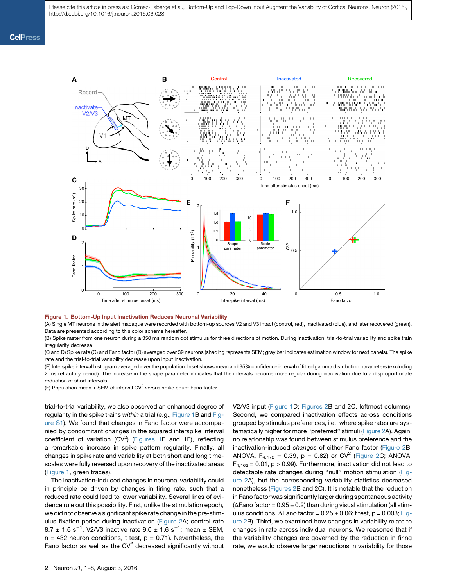<span id="page-2-0"></span>

#### Figure 1. Bottom-Up Input Inactivation Reduces Neuronal Variability

(A) Single MT neurons in the alert macaque were recorded with bottom-up sources V2 and V3 intact (control, red), inactivated (blue), and later recovered (green). Data are presented according to this color scheme hereafter.

(B) Spike raster from one neuron during a 350 ms random dot stimulus for three directions of motion. During inactivation, trial-to-trial variability and spike train irregularity decrease.

(C and D) Spike rate (C) and Fano factor (D) averaged over 39 neurons (shading represents SEM; gray bar indicates estimation window for next panels). The spike rate and the trial-to-trial variability decrease upon input inactivation.

(E) Interspike interval histogram averaged over the population. Inset shows mean and 95% confidence interval of fitted gamma distribution parameters (excluding 2 ms refractory period). The increase in the shape parameter indicates that the intervals become more regular during inactivation due to a disproportionate reduction of short intervals.

(F) Population mean  $\pm$  SEM of interval CV<sup>2</sup> versus spike count Fano factor.

trial-to-trial variability, we also observed an enhanced degree of regularity in the spike trains *within* a trial (e.g., [Figure 1](#page-2-0)B and Figure S1). We found that changes in Fano factor were accompanied by concomitant changes in the squared interspike interval coefficient of variation  $(CV^2)$  ([Figures 1](#page-2-0)E and 1F), reflecting a remarkable increase in spike pattern regularity. Finally, all changes in spike rate and variability at both short and long timescales were fully reversed upon recovery of the inactivated areas ([Figure 1,](#page-2-0) green traces).

The inactivation-induced changes in neuronal variability could in principle be driven by changes in firing rate, such that a reduced rate could lead to lower variability. Several lines of evidence rule out this possibility. First, unlike the stimulation epoch, we did not observe a significant spike rate change in the pre-stimulus fixation period during inactivation [\(Figure 2A](#page-3-0); control rate 8.7  $\pm$  1.6 s<sup>-1</sup>, V2/V3 inactive rate 9.0  $\pm$  1.6 s<sup>-1</sup>; mean  $\pm$  SEM,  $n = 432$  neuron conditions, t test,  $p = 0.71$ ). Nevertheless, the Fano factor as well as the  $CV<sup>2</sup>$  decreased significantly without

V2/V3 input [\(Figure 1](#page-2-0)D; [Figures 2](#page-3-0)B and 2C, leftmost columns). Second, we compared inactivation effects across conditions grouped by stimulus preferences, i.e., where spike rates are systematically higher for more ''preferred'' stimuli [\(Figure 2](#page-3-0)A). Again, no relationship was found between stimulus preference and the inactivation-induced *changes* of either Fano factor [\(Figure 2B](#page-3-0); ANOVA,  $F_{4,172} = 0.39$ , p = 0.82) or CV<sup>2</sup> [\(Figure 2C](#page-3-0); ANOVA,  $F_{4,163} = 0.01$ , p > 0.99). Furthermore, inactivation did not lead to detectable rate changes during ''null'' motion stimulation [\(Fig](#page-3-0)[ure 2](#page-3-0)A), but the corresponding variability statistics decreased nonetheless ([Figures 2B](#page-3-0) and 2C). It is notable that the reduction in Fano factor was significantly larger during spontaneous activity ( $\Delta$ Fano factor = 0.95  $\pm$  0.2) than during visual stimulation (all stimulus conditions,  $\Delta$ Fano factor = 0.25  $\pm$  0.06; t test, p = 0.003; [Fig](#page-3-0)[ure 2B](#page-3-0)). Third, we examined how changes in variability relate to changes in rate across individual neurons. We reasoned that if the variability changes are governed by the reduction in firing rate, we would observe larger reductions in variability for those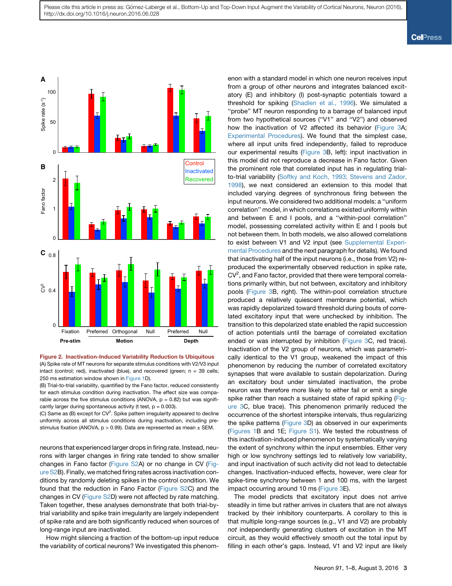<span id="page-3-0"></span>

Figure 2. Inactivation-Induced Variability Reduction Is Ubiquitous (A) Spike rate of MT neurons for separate stimulus conditions with V2/V3 input intact (control; red), inactivated (blue), and recovered (green;  $n = 39$  cells; 250 ms estimation window shown in [Figure 1](#page-2-0)D).

(B) Trial-to-trial variability, quantified by the Fano factor, reduced consistently for each stimulus condition during inactivation. The effect size was comparable across the five stimulus conditions (ANOVA,  $p = 0.82$ ) but was significantly larger during spontaneous activity (t test,  $p = 0.003$ ).

(C) Same as (B) except for  $CV^2$ . Spike pattern irregularity appeared to decline uniformly across all stimulus conditions during inactivation, including prestimulus fixation (ANOVA,  $p > 0.99$ ). Data are represented as mean  $\pm$  SEM.

neurons that experienced larger drops in firing rate. Instead, neurons with larger changes in firing rate tended to show smaller changes in Fano factor (Figure S2A) or no change in CV (Figure S2B). Finally, we matched firing rates across inactivation conditions by randomly deleting spikes in the control condition. We found that the reduction in Fano Factor (Figure S2C) and the changes in CV (Figure S2D) were not affected by rate matching. Taken together, these analyses demonstrate that both trial-bytrial variability and spike train irregularity are largely independent of spike rate and are both significantly reduced when sources of long-range input are inactivated.

How might silencing a fraction of the bottom-up input reduce the variability of cortical neurons? We investigated this phenomenon with a standard model in which one neuron receives input from a group of other neurons and integrates balanced excitatory (E) and inhibitory (I) post-synaptic potentials toward a threshold for spiking ([Shadlen et al., 1996](#page-8-9)). We simulated a ''probe'' MT neuron responding to a barrage of balanced input from two hypothetical sources (''V1'' and ''V2'') and observed how the inactivation of V2 affected its behavior ([Figure 3](#page-4-0)A; [Experimental Procedures](#page-7-3)). We found that the simplest case, where all input units fired independently, failed to reproduce our experimental results ([Figure 3B](#page-4-0), left): input inactivation in this model did not reproduce a decrease in Fano factor. Given the prominent role that correlated input has in regulating trialto-trial variability ([Softky and Koch, 1993; Stevens and Zador,](#page-8-4) [1998\)](#page-8-4), we next considered an extension to this model that included varying degrees of synchronous firing between the input neurons. We considered two additional models: a ''uniform correlation'' model, in which correlations existed uniformly within and between E and I pools, and a ''within-pool correlation'' model, possessing correlated activity within E and I pools but not between them. In both models, we also allowed correlations to exist between V1 and V2 input (see Supplemental Experimental Procedures and the next paragraph for details). We found that inactivating half of the input neurons (i.e., those from V2) reproduced the experimentally observed reduction in spike rate,  $CV<sup>2</sup>$ , and Fano factor, provided that there were temporal correlations primarily within, but not between, excitatory and inhibitory pools [\(Figure 3B](#page-4-0), right). The within-pool correlation structure produced a relatively quiescent membrane potential, which was rapidly depolarized toward threshold during bouts of correlated excitatory input that were unchecked by inhibition. The transition to this depolarized state enabled the rapid succession of action potentials until the barrage of correlated excitation ended or was interrupted by inhibition [\(Figure 3](#page-4-0)C, red trace). Inactivation of the V2 group of neurons, which was parametrically identical to the V1 group, weakened the impact of this phenomenon by reducing the number of correlated excitatory synapses that were available to sustain depolarization. During an excitatory bout under simulated inactivation, the probe neuron was therefore more likely to either fail or emit a single spike rather than reach a sustained state of rapid spiking [\(Fig](#page-4-0)[ure 3](#page-4-0)C, blue trace). This phenomenon primarily reduced the occurrence of the shortest interspike intervals, thus regularizing the spike patterns ([Figure 3](#page-4-0)D) as observed in our experiments [\(Figures 1B](#page-2-0) and 1E; Figure S1). We tested the robustness of this inactivation-induced phenomenon by systematically varying the extent of synchrony within the input ensembles. Either very high or low synchrony settings led to relatively low variability, and input inactivation of such activity did not lead to detectable changes. Inactivation-induced effects, however, were clear for spike-time synchrony between 1 and 100 ms, with the largest impact occurring around 10 ms [\(Figure 3](#page-4-0)E).

The model predicts that excitatory input does not arrive steadily in time but rather arrives in clusters that are not always tracked by their inhibitory counterparts. A corollary to this is that multiple long-range sources (e.g., V1 and V2) are probably *not* independently generating clusters of excitation in the MT circuit, as they would effectively smooth out the total input by filling in each other's gaps. Instead, V1 and V2 input are likely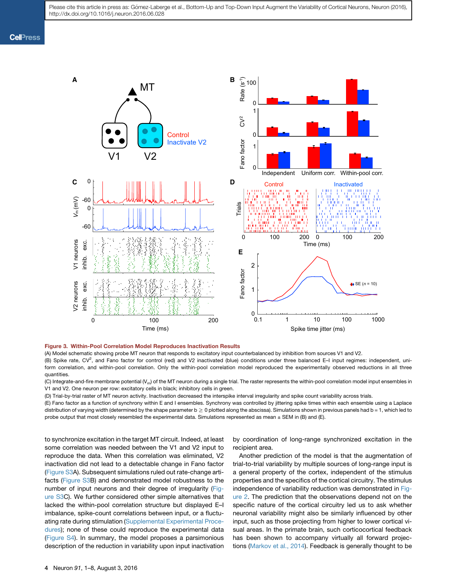<span id="page-4-0"></span>

#### Figure 3. Within-Pool Correlation Model Reproduces Inactivation Results

(A) Model schematic showing probe MT neuron that responds to excitatory input counterbalanced by inhibition from sources V1 and V2.

(B) Spike rate, CV<sup>2</sup>, and Fano factor for control (red) and V2 inactivated (blue) conditions under three balanced E–I input regimes: independent, uniform correlation, and within-pool correlation. Only the within-pool correlation model reproduced the experimentally observed reductions in all three quantities.

(C) Integrate-and-fire membrane potential  $(V_m)$  of the MT neuron during a single trial. The raster represents the within-pool correlation model input ensembles in V1 and V2. One neuron per row: excitatory cells in black; inhibitory cells in green.

(D) Trial-by-trial raster of MT neuron activity. Inactivation decreased the interspike interval irregularity and spike count variability across trials.

(E) Fano factor as a function of synchrony within E and I ensembles. Synchrony was controlled by jittering spike times within each ensemble using a Laplace distribution of varying width (determined by the shape parameter  $b \ge 0$  plotted along the abscissa). Simulations shown in previous panels had b = 1, which led to probe output that most closely resembled the experimental data. Simulations represented as mean  $\pm$  SEM in (B) and (E).

to synchronize excitation in the target MT circuit. Indeed, at least some correlation was needed between the V1 and V2 input to reproduce the data. When this correlation was eliminated, V2 inactivation did not lead to a detectable change in Fano factor (Figure S3A). Subsequent simulations ruled out rate-change artifacts (Figure S3B) and demonstrated model robustness to the number of input neurons and their degree of irregularity (Figure S3C). We further considered other simple alternatives that lacked the within-pool correlation structure but displayed E–I imbalance, spike-count correlations between input, or a fluctuating rate during stimulation (Supplemental Experimental Procedures); none of these could reproduce the experimental data (Figure S4). In summary, the model proposes a parsimonious description of the reduction in variability upon input inactivation

by coordination of long-range synchronized excitation in the recipient area.

Another prediction of the model is that the augmentation of trial-to-trial variability by multiple sources of long-range input is a general property of the cortex, independent of the stimulus properties and the specifics of the cortical circuitry. The stimulus independence of variability reduction was demonstrated in [Fig](#page-3-0)[ure 2.](#page-3-0) The prediction that the observations depend not on the specific nature of the cortical circuitry led us to ask whether neuronal variability might also be similarly influenced by other input, such as those projecting from higher to lower cortical visual areas. In the primate brain, such corticocortical feedback has been shown to accompany virtually all forward projections ([Markov et al., 2014\)](#page-8-1). Feedback is generally thought to be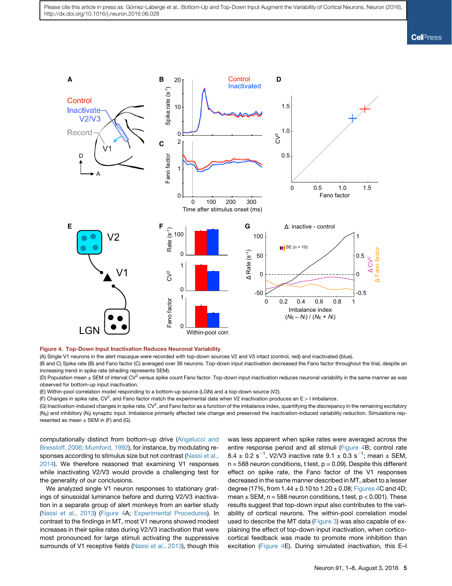**Cell**<sup>ress</sup>

<span id="page-5-0"></span>

#### Figure 4. Top-Down Input Inactivation Reduces Neuronal Variability

(A) Single V1 neurons in the alert macaque were recorded with top-down sources V2 and V3 intact (control, red) and inactivated (blue).

(B and C) Spike rate (B) and Fano factor (C) averaged over 36 neurons. Top-down input inactivation decreased the Fano factor throughout the trial, despite an increasing trend in spike rate (shading represents SEM).

(D) Population mean  $\pm$  SEM of interval CV<sup>2</sup> versus spike count Fano factor. Top-down input inactivation reduces neuronal variability in the same manner as was observed for bottom-up input inactivation.

(E) Within-pool correlation model responding to a bottom-up source (LGN) and a top-down source (V2).

(F) Changes in spike rate, CV<sup>2</sup>, and Fano factor match the experimental data when V2 inactivation produces an E > I imbalance.

(G) Inactivation-induced changes in spike rate, CV<sup>2</sup>, and Fano factor as a function of the imbalance index, quantifying the discrepancy in the remaining excitatory  $(N_E)$  and inhibitory (N<sub>I</sub>) synaptic input. Imbalance primarily affected rate change and preserved the inactivation-induced variability reduction. Simulations represented as mean  $\pm$  SEM in (F) and (G).

computationally distinct from bottom-up drive [\(Angelucci and](#page-7-4) [Bressloff, 2006; Mumford, 1992](#page-7-4)), for instance, by modulating responses according to stimulus size but not contrast [\(Nassi et al.,](#page-8-10) [2014\)](#page-8-10). We therefore reasoned that examining V1 responses while inactivating V2/V3 would provide a challenging test for the generality of our conclusions.

We analyzed single V1 neuron responses to stationary gratings of sinusoidal luminance before and during V2/V3 inactivation in a separate group of alert monkeys from an earlier study [\(Nassi et al., 2013](#page-8-11)) ([Figure 4](#page-5-0)A; [Experimental Procedures\)](#page-7-3). In contrast to the findings in MT, most V1 neurons showed modest increases in their spike rates during V2/V3 inactivation that were most pronounced for large stimuli activating the suppressive surrounds of V1 receptive fields ([Nassi et al., 2013\)](#page-8-11), though this

was less apparent when spike rates were averaged across the entire response period and all stimuli [\(Figure 4B](#page-5-0); control rate 8.4  $\pm$  0.2 s<sup>-1</sup>, V2/V3 inactive rate 9.1  $\pm$  0.3 s<sup>-1</sup>; mean  $\pm$  SEM,  $n = 588$  neuron conditions, t test,  $p = 0.09$ ). Despite this different effect on spike rate, the Fano factor of the V1 responses decreased in the same manner described in MT, albeit to a lesser degree (17%, from  $1.44 \pm 0.10$  to  $1.20 \pm 0.08$ ; [Figures 4C](#page-5-0) and 4D; mean  $\pm$  SEM, n = 588 neuron conditions, t test, p < 0.001). These results suggest that top-down input also contributes to the variability of cortical neurons. The within-pool correlation model used to describe the MT data [\(Figure 3\)](#page-4-0) was also capable of explaining the effect of top-down input inactivation, when corticocortical feedback was made to promote more inhibition than excitation [\(Figure 4E](#page-5-0)). During simulated inactivation, this E–I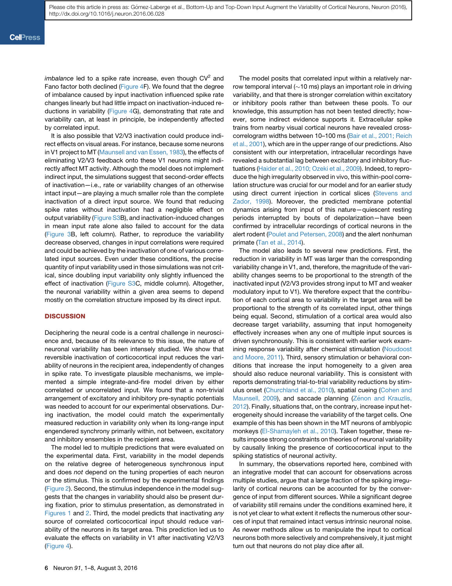*imbalance* led to a spike rate increase, even though CV<sup>2</sup> and Fano factor both declined ([Figure 4F](#page-5-0)). We found that the degree of imbalance caused by input inactivation influenced spike rate changes linearly but had little impact on inactivation-induced reductions in variability ([Figure 4](#page-5-0)G), demonstrating that rate and variability can, at least in principle, be independently affected by correlated input.

It is also possible that V2/V3 inactivation could produce indirect effects on visual areas. For instance, because some neurons in V1 project to MT ([Maunsell and van Essen, 1983\)](#page-8-7), the effects of eliminating V2/V3 feedback onto these V1 neurons might indirectly affect MT activity. Although the model does not implement indirect input, the simulations suggest that second-order effects of inactivation—i.e., rate or variability changes of an otherwise intact input—are playing a much smaller role than the complete inactivation of a direct input source. We found that reducing spike rates without inactivation had a negligible effect on output variability (Figure S3B), and inactivation-induced changes in mean input rate alone also failed to account for the data ([Figure 3B](#page-4-0), left column). Rather, to reproduce the variability decrease observed, changes in input correlations were required and could be achieved by the inactivation of one of various correlated input sources. Even under these conditions, the precise quantity of input variability used in those simulations was not critical, since doubling input variability only slightly influenced the effect of inactivation (Figure S3C, middle column). Altogether, the neuronal variability within a given area seems to depend mostly on the correlation structure imposed by its direct input.

#### **DISCUSSION**

Deciphering the neural code is a central challenge in neuroscience and, because of its relevance to this issue, the nature of neuronal variability has been intensely studied. We show that reversible inactivation of corticocortical input reduces the variability of neurons in the recipient area, independently of changes in spike rate. To investigate plausible mechanisms, we implemented a simple integrate-and-fire model driven by either correlated or uncorrelated input. We found that a non-trivial arrangement of excitatory and inhibitory pre-synaptic potentials was needed to account for our experimental observations. During inactivation, the model could match the experimentally measured reduction in variability only when its long-range input engendered synchrony primarily within, not between, excitatory and inhibitory ensembles in the recipient area.

The model led to multiple predictions that were evaluated on the experimental data. First, variability in the model depends on the relative degree of heterogeneous synchronous input and does *not* depend on the tuning properties of each neuron or the stimulus. This is confirmed by the experimental findings ([Figure 2](#page-3-0)). Second, the stimulus independence in the model suggests that the changes in variability should also be present during fixation, prior to stimulus presentation, as demonstrated in [Figures 1](#page-2-0) and [2](#page-3-0). Third, the model predicts that inactivating *any* source of correlated corticocortical input should reduce variability of the neurons in its target area. This prediction led us to evaluate the effects on variability in V1 after inactivating V2/V3 ([Figure 4\)](#page-5-0).

The model posits that correlated input within a relatively narrow temporal interval ( $\sim$ 10 ms) plays an important role in driving variability, and that there is stronger correlation within excitatory or inhibitory pools rather than between these pools. To our knowledge, this assumption has not been tested directly; however, some indirect evidence supports it. Extracellular spike trains from nearby visual cortical neurons have revealed crosscorrelogram widths between 10–100 ms ([Bair et al., 2001; Reich](#page-7-5) [et al., 2001](#page-7-5)), which are in the upper range of our predictions. Also consistent with our interpretation, intracellular recordings have revealed a substantial lag between excitatory and inhibitory fluctuations [\(Haider et al., 2010; Ozeki et al., 2009\)](#page-7-6). Indeed, to reproduce the high irregularity observed in vivo, this within-pool correlation structure was crucial for our model and for an earlier study using direct current injection in cortical slices ([Stevens and](#page-8-12) [Zador, 1998\)](#page-8-12). Moreover, the predicted membrane potential dynamics arising from input of this nature—quiescent resting periods interrupted by bouts of depolarization—have been confirmed by intracellular recordings of cortical neurons in the alert rodent [\(Poulet and Petersen, 2008](#page-8-13)) and the alert nonhuman primate [\(Tan et al., 2014\)](#page-8-14).

The model also leads to several new predictions. First, the reduction in variability in MT was larger than the corresponding variability change in V1, and, therefore, the magnitude of the variability changes seems to be proportional to the strength of the inactivated input (V2/V3 provides strong input to MT and weaker modulatory input to V1). We therefore expect that the contribution of each cortical area to variability in the target area will be proportional to the strength of its correlated input, other things being equal. Second, stimulation of a cortical area would also decrease target variability, assuming that input homogeneity effectively increases when any one of multiple input sources is driven synchronously. This is consistent with earlier work examining response variability after chemical stimulation ([Noudoost](#page-8-15) [and Moore, 2011](#page-8-15)). Third, sensory stimulation or behavioral conditions that increase the input homogeneity to a given area should also reduce neuronal variability. This is consistent with reports demonstrating trial-to-trial variability reductions by stimulus onset ([Churchland et al., 2010](#page-7-7)), spatial cueing [\(Cohen and](#page-7-8) [Maunsell, 2009\)](#page-7-8), and saccade planning (Zé[non and Krauzlis,](#page-8-16) [2012\)](#page-8-16). Finally, situations that, on the contrary, increase input heterogeneity should increase the variability of the target cells. One example of this has been shown in the MT neurons of amblyopic monkeys ([El-Shamayleh et al., 2010\)](#page-7-9). Taken together, these results impose strong constraints on theories of neuronal variability by causally linking the presence of corticocortical input to the spiking statistics of neuronal activity.

In summary, the observations reported here, combined with an integrative model that can account for observations across multiple studies, argue that a large fraction of the spiking irregularity of cortical neurons can be accounted for by the convergence of input from different sources. While a significant degree of variability still remains under the conditions examined here, it is not yet clear to what extent it reflects the numerous other sources of input that remained intact versus intrinsic neuronal noise. As newer methods allow us to manipulate the input to cortical neurons both more selectively and comprehensively, it just might turn out that neurons do not play dice after all.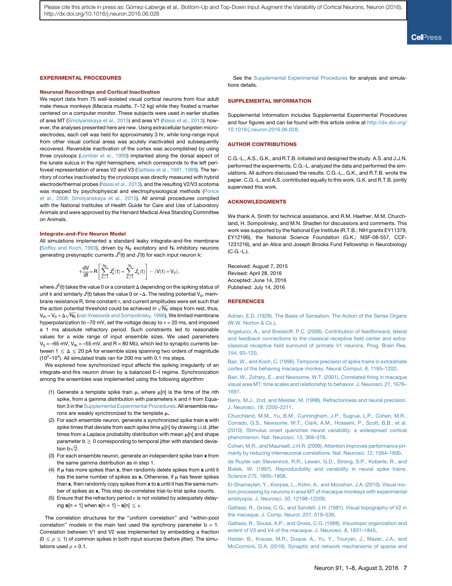#### <span id="page-7-3"></span>EXPERIMENTAL PROCEDURES

#### Neuronal Recordings and Cortical Inactivation

We report data from 75 well-isolated visual cortical neurons from four adult male rhesus monkeys (*Macaca mulatta*, 7–12 kg) while they fixated a marker centered on a computer monitor. These subjects were used in earlier studies of area MT [\(Smolyanskaya et al., 2015](#page-8-5)) and area V1 [\(Nassi et al., 2013\)](#page-8-11); however, the analyses presented here are new. Using extracellular tungsten microelectrodes, each cell was held for approximately 3 hr, while long-range input from other visual cortical areas was acutely inactivated and subsequently recovered. Reversible inactivation of the cortex was accomplished by using three cryoloops [\(Lomber et al., 1999\)](#page-8-6) implanted along the dorsal aspect of the lunate sulcus in the right hemisphere, which corresponds to the left perifoveal representation of areas V2 and V3 ([Gattass et al., 1981, 1988](#page-7-10)). The territory of cortex inactivated by the cryoloops was directly measured with hybrid electrode/thermal probes ([Nassi et al., 2013](#page-8-11)), and the resulting V2/V3 scotoma was mapped by psychophysical and electrophysiological methods [\(Ponce](#page-8-8) [et al., 2008; Smolyanskaya et al., 2015](#page-8-8)). All animal procedures complied with the National Institutes of Health Guide for Care and Use of Laboratory Animals and were approved by the Harvard Medical Area Standing Committee on Animals.

#### Integrate-and-Fire Neuron Model

All simulations implemented a standard leaky integrate-and-fire membrane ([Softky and Koch, 1993\)](#page-8-4), driven by  $N_E$  excitatory and  $N_I$  inhibitory neurons generating presynaptic currents J<sup>E</sup>(t) and J<sup>I</sup>(t) for each input neuron k:

$$
\tau \frac{dV}{dt}\!=\!R\Bigg[\sum_{k=1}^{N_E}\textbf{J}^E_k(t)+\sum_{k=1}^{N_I}\textbf{J}^I_k(t)\Bigg]-\big(V(t)+V_0\big),
$$

where  $\mathsf{J}^\mathsf{E}(\mathsf{t})$  takes the value 0 or a constant  $\Delta$  depending on the spiking status of unit k and similarly J<sup>I</sup>(t) takes the value 0 or  $-\Delta$ . The resting potential V<sub>0</sub>, membrane resistance R, time constant  $\tau$ , and current amplitudes were set such that the action potential threshold could be achieved in  $\sqrt{\mathsf{N}_{\mathsf{E}}}$  steps from rest, thus,  $V_{\text{th}}$  =  $V_0$  +  $\Delta\sqrt{N_E}$  ([van Vreeswijk and Sompolinsky, 1996](#page-8-17)). We limited membrane hyperpolarization to -70 mV, set the voltage decay to  $\tau$  = 20 ms, and imposed a 1 ms absolute refractory period. Such constraints led to reasonable values for a wide range of input ensemble sizes. We used parameters  $V_0 = -65$  mV,  $V_{th} = -55$  mV, and R = 80 M $\Omega$ , which led to synaptic currents between  $1 \le \Delta \le 20$  pA for ensemble sizes spanning two orders of magnitude  $(10<sup>2</sup> - 10<sup>4</sup>)$ . All simulated trials ran for 200 ms with 0.1 ms steps.

We explored how synchronized input affects the spiking irregularity of an integrate-and-fire neuron driven by a balanced E–I regime. Synchronization among the ensembles was implemented using the following algorithm:

- (1) Generate a template spike train  $\mu$ , where  $\mu[n]$  is the time of the nth spike, from a gamma distribution with parameters k and  $\theta$  from Equation 3 in the Supplemental Experimental Procedures. All ensemble neurons are weakly synchronized to the template  $\mu$ .
- (2) For each ensemble neuron, generate a synchronized spike train s with spike times that deviate from each spike time  $\mu$ [n] by drawing i.i.d. jitter times from a Laplace probability distribution with mean  $\mu$ [n] and shape parameter  $b \geq 0$  corresponding to temporal jitter with standard deviation b $\sqrt{2}$ .
- (3) For each ensemble neuron, generate an independent spike train x from the same gamma distribution as in step 1.
- (4) If  $\mu$  has more spikes than x, then randomly delete spikes from s until it has the same number of spikes as  $x$ . Otherwise, if  $\mu$  has fewer spikes than x, then randomly copy spikes from x to s until it has the same number of spikes as x. This step de-correlates trial-to-trial spike counts.
- (5) Ensure that the refractory period  $\varepsilon$  is not violated by adequately delaying  $s[n + 1]$  when  $s[n + 1] - s[n] \leq \varepsilon$ .

The correlation structures for the ''uniform correlation'' and ''within-pool correlation" models in the main text used the synchrony parameter  $b = 1$ . Correlation between V1 and V2 was implemented by embedding a fraction  $(0 \le \rho \le 1)$  of common spikes in both input sources (before jitter). The simulations used  $\rho = 0.1$ .

See the Supplemental Experimental Procedures for analysis and simulations details.

#### SUPPLEMENTAL INFORMATION

Supplemental Information includes Supplemental Experimental Procedures and four figures and can be found with this article online at [http://dx.doi.org/](http://dx.doi.org/10.1016/j.neuron.2016.06.028) [10.1016/j.neuron.2016.06.028](http://dx.doi.org/10.1016/j.neuron.2016.06.028).

#### AUTHOR CONTRIBUTIONS

C.G.-L., A.S., G.K., and R.T.B. initiated and designed the study. A.S. and J.J.N. performed the experiments. C.G.-L. analyzed the data and performed the simulations. All authors discussed the results. C.G.-L., G.K., and R.T.B. wrote the paper. C.G.-L. and A.S. contributed equally to this work. G.K. and R.T.B. jointly supervised this work.

#### ACKNOWLEDGMENTS

We thank A. Smith for technical assistance, and R.M. Haefner, M.M. Churchland, H. Sompolinsky, and M.N. Shadlen for discussions and comments. This work was supported by the National Eye Institute (R.T.B.; NIH grants EY11379, EY12196), the National Science Foundation (G.K.; NSF-08-557, CCF-1231216), and an Alice and Joseph Brooks Fund Fellowship in Neurobiology (C.G.-L.).

Received: August 7, 2015 Revised: April 28, 2016 Accepted: June 14, 2016 Published: July 14, 2016

#### REFERENCES

<span id="page-7-0"></span>[Adrian, E.D. \(1928\). The Basis of Sensation: The Action of the Sense Organs](http://refhub.elsevier.com/S0896-6273(16)30306-3/sref1) [\(W.W. Norton & Co.\)](http://refhub.elsevier.com/S0896-6273(16)30306-3/sref1).

<span id="page-7-4"></span>[Angelucci, A., and Bressloff, P.C. \(2006\). Contribution of feedforward, lateral](http://refhub.elsevier.com/S0896-6273(16)30306-3/sref2) [and feedback connections to the classical receptive field center and extra](http://refhub.elsevier.com/S0896-6273(16)30306-3/sref2)[classical receptive field surround of primate V1 neurons. Prog. Brain Res.](http://refhub.elsevier.com/S0896-6273(16)30306-3/sref2) *154*[, 93–120](http://refhub.elsevier.com/S0896-6273(16)30306-3/sref2).

<span id="page-7-2"></span>[Bair, W., and Koch, C. \(1996\). Temporal precision of spike trains in extrastriate](http://refhub.elsevier.com/S0896-6273(16)30306-3/sref3) [cortex of the behaving macaque monkey. Neural Comput.](http://refhub.elsevier.com/S0896-6273(16)30306-3/sref3) *8*, 1185–1202.

<span id="page-7-5"></span>[Bair, W., Zohary, E., and Newsome, W.T. \(2001\). Correlated firing in macaque](http://refhub.elsevier.com/S0896-6273(16)30306-3/sref4) [visual area MT: time scales and relationship to behavior. J. Neurosci.](http://refhub.elsevier.com/S0896-6273(16)30306-3/sref4) *21*, 1676– [1697.](http://refhub.elsevier.com/S0896-6273(16)30306-3/sref4)

[Berry, M.J., 2nd, and Meister, M. \(1998\). Refractoriness and neural precision.](http://refhub.elsevier.com/S0896-6273(16)30306-3/sref5) J. Neurosci. *18*[, 2200–2211](http://refhub.elsevier.com/S0896-6273(16)30306-3/sref5).

<span id="page-7-7"></span>[Churchland, M.M., Yu, B.M., Cunningham, J.P., Sugrue, L.P., Cohen, M.R.,](http://refhub.elsevier.com/S0896-6273(16)30306-3/sref6) [Corrado, G.S., Newsome, W.T., Clark, A.M., Hosseini, P., Scott, B.B., et al.](http://refhub.elsevier.com/S0896-6273(16)30306-3/sref6) [\(2010\). Stimulus onset quenches neural variability: a widespread cortical](http://refhub.elsevier.com/S0896-6273(16)30306-3/sref6) [phenomenon. Nat. Neurosci.](http://refhub.elsevier.com/S0896-6273(16)30306-3/sref6) *13*, 369–378.

<span id="page-7-8"></span>[Cohen, M.R., and Maunsell, J.H.R. \(2009\). Attention improves performance pri](http://refhub.elsevier.com/S0896-6273(16)30306-3/sref7)[marily by reducing interneuronal correlations. Nat. Neurosci.](http://refhub.elsevier.com/S0896-6273(16)30306-3/sref7) *12*, 1594–1600.

<span id="page-7-1"></span>[de Ruyter van Steveninck, R.R., Lewen, G.D., Strong, S.P., Koberle, R., and](http://refhub.elsevier.com/S0896-6273(16)30306-3/sref8) [Bialek, W. \(1997\). Reproducibility and variability in neural spike trains.](http://refhub.elsevier.com/S0896-6273(16)30306-3/sref8) Science *275*[, 1805–1808.](http://refhub.elsevier.com/S0896-6273(16)30306-3/sref8)

<span id="page-7-9"></span>[El-Shamayleh, Y., Kiorpes, L., Kohn, A., and Movshon, J.A. \(2010\). Visual mo](http://refhub.elsevier.com/S0896-6273(16)30306-3/sref9)[tion processing by neurons in area MT of macaque monkeys with experimental](http://refhub.elsevier.com/S0896-6273(16)30306-3/sref9) [amblyopia. J. Neurosci.](http://refhub.elsevier.com/S0896-6273(16)30306-3/sref9) *30*, 12198–12209.

<span id="page-7-10"></span>[Gattass, R., Gross, C.G., and Sandell, J.H. \(1981\). Visual topography of V2 in](http://refhub.elsevier.com/S0896-6273(16)30306-3/sref10) [the macaque. J. Comp. Neurol.](http://refhub.elsevier.com/S0896-6273(16)30306-3/sref10) *201*, 519–539.

[Gattass, R., Sousa, A.P., and Gross, C.G. \(1988\). Visuotopic organization and](http://refhub.elsevier.com/S0896-6273(16)30306-3/sref11) [extent of V3 and V4 of the macaque. J. Neurosci.](http://refhub.elsevier.com/S0896-6273(16)30306-3/sref11) *8*, 1831–1845.

<span id="page-7-6"></span>[Haider, B., Krause, M.R., Duque, A., Yu, Y., Touryan, J., Mazer, J.A., and](http://refhub.elsevier.com/S0896-6273(16)30306-3/sref12) [McCormick, D.A. \(2010\). Synaptic and network mechanisms of sparse and](http://refhub.elsevier.com/S0896-6273(16)30306-3/sref12)